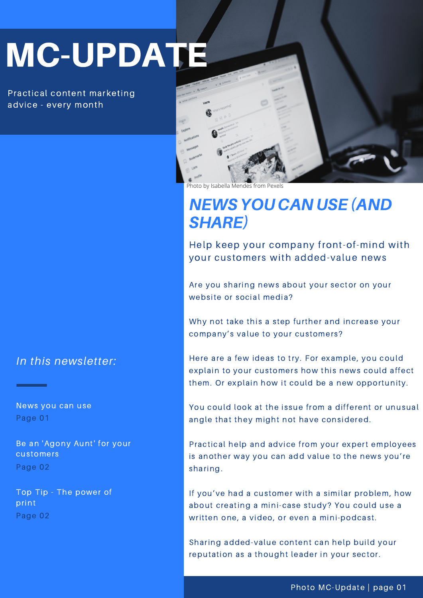# MC-UPDATE

Practical content marketing advice - every month

*In this newsletter:*

News you can use Page 01

Be an 'Agony Aunt' for your customers Page 02

Top Tip - The power of print Page 02



Photo by [Isabella Mendes](https://www.pexels.com/@isabella-mendes-107313?utm_content=attributionCopyText&utm_medium=referral&utm_source=pexels) from

## NEWSYOU CAN USE (AND SHARE)

Help keep your company front-of-mind with your customers with added-value news

Are you sharing news about your sector on your website or social media?

Why not take this a step further and increase your company's value to your customers?

Here are a few ideas to try. For example, you could explain to your customers how this news could affect them. Or explain how it could be a new opportunity.

You could look at the issue from a different or unusual angle that they might not have considered.

Practical help and advice from your expert employees is another way you can add value to the news you're sharing.

If you've had a customer with a similar problem, how about creating a mini-case study? You could use a written one, a video, or even a mini-podcast.

Sharing added-value content can help build your reputation as a thought leader in your sector.